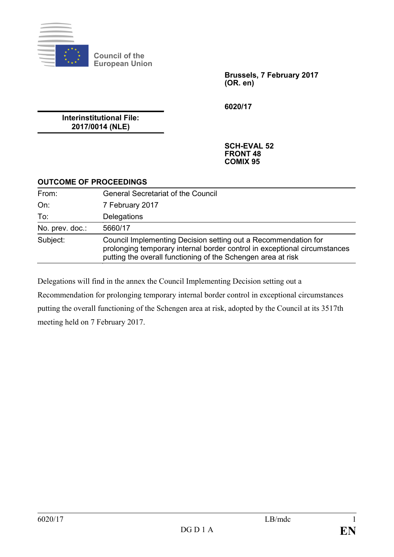

**Council of the European Union**

> **Brussels, 7 February 2017 (OR. en)**

**6020/17**

**Interinstitutional File: 2017/0014 (NLE)**

> **SCH-EVAL 52 FRONT 48 COMIX 95**

## **OUTCOME OF PROCEEDINGS**

| From:           | <b>General Secretariat of the Council</b>                                                                                                                                                                   |
|-----------------|-------------------------------------------------------------------------------------------------------------------------------------------------------------------------------------------------------------|
| On:             | 7 February 2017                                                                                                                                                                                             |
| To:             | Delegations                                                                                                                                                                                                 |
| No. prev. doc.: | 5660/17                                                                                                                                                                                                     |
| Subject:        | Council Implementing Decision setting out a Recommendation for<br>prolonging temporary internal border control in exceptional circumstances<br>putting the overall functioning of the Schengen area at risk |

Delegations will find in the annex the Council Implementing Decision setting out a Recommendation for prolonging temporary internal border control in exceptional circumstances putting the overall functioning of the Schengen area at risk, adopted by the Council at its 3517th meeting held on 7 February 2017.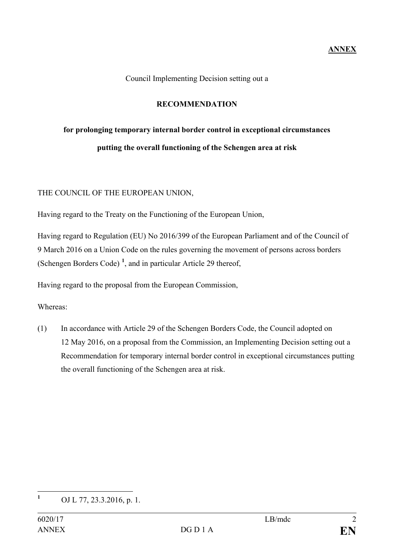Council Implementing Decision setting out a

## **RECOMMENDATION**

# **for prolonging temporary internal border control in exceptional circumstances putting the overall functioning of the Schengen area at risk**

#### THE COUNCIL OF THE EUROPEAN UNION,

Having regard to the Treaty on the Functioning of the European Union,

Having regard to Regulation (EU) No 2016/399 of the European Parliament and of the Council of 9 March 2016 on a Union Code on the rules governing the movement of persons across borders (Schengen Borders Code) **[1](#page-1-0)** , and in particular Article 29 thereof,

Having regard to the proposal from the European Commission,

Whereas:

(1) In accordance with Article 29 of the Schengen Borders Code, the Council adopted on 12 May 2016, on a proposal from the Commission, an Implementing Decision setting out a Recommendation for temporary internal border control in exceptional circumstances putting the overall functioning of the Schengen area at risk.

<span id="page-1-0"></span>**<sup>1</sup>** OJ L 77, 23.3.2016, p. 1.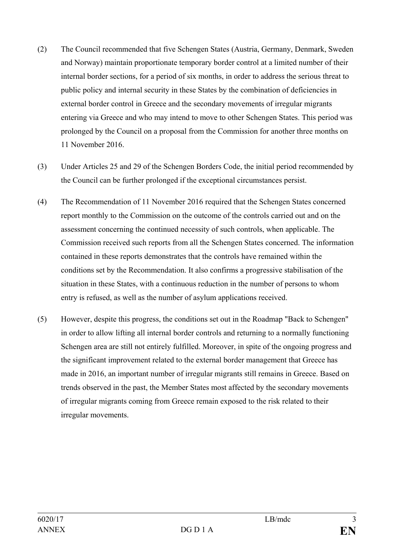- (2) The Council recommended that five Schengen States (Austria, Germany, Denmark, Sweden and Norway) maintain proportionate temporary border control at a limited number of their internal border sections, for a period of six months, in order to address the serious threat to public policy and internal security in these States by the combination of deficiencies in external border control in Greece and the secondary movements of irregular migrants entering via Greece and who may intend to move to other Schengen States. This period was prolonged by the Council on a proposal from the Commission for another three months on 11 November 2016.
- (3) Under Articles 25 and 29 of the Schengen Borders Code, the initial period recommended by the Council can be further prolonged if the exceptional circumstances persist.
- (4) The Recommendation of 11 November 2016 required that the Schengen States concerned report monthly to the Commission on the outcome of the controls carried out and on the assessment concerning the continued necessity of such controls, when applicable. The Commission received such reports from all the Schengen States concerned. The information contained in these reports demonstrates that the controls have remained within the conditions set by the Recommendation. It also confirms a progressive stabilisation of the situation in these States, with a continuous reduction in the number of persons to whom entry is refused, as well as the number of asylum applications received.
- (5) However, despite this progress, the conditions set out in the Roadmap "Back to Schengen" in order to allow lifting all internal border controls and returning to a normally functioning Schengen area are still not entirely fulfilled. Moreover, in spite of the ongoing progress and the significant improvement related to the external border management that Greece has made in 2016, an important number of irregular migrants still remains in Greece. Based on trends observed in the past, the Member States most affected by the secondary movements of irregular migrants coming from Greece remain exposed to the risk related to their irregular movements.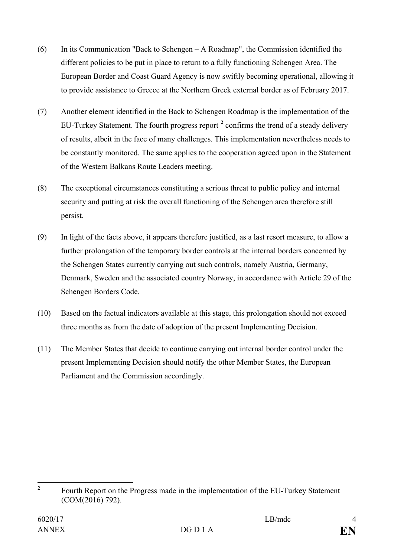- (6) In its Communication "Back to Schengen A Roadmap", the Commission identified the different policies to be put in place to return to a fully functioning Schengen Area. The European Border and Coast Guard Agency is now swiftly becoming operational, allowing it to provide assistance to Greece at the Northern Greek external border as of February 2017.
- (7) Another element identified in the Back to Schengen Roadmap is the implementation of the EU-Turkey Statement. The fourth progress report **[2](#page-3-0)** confirms the trend of a steady delivery of results, albeit in the face of many challenges. This implementation nevertheless needs to be constantly monitored. The same applies to the cooperation agreed upon in the Statement of the Western Balkans Route Leaders meeting.
- (8) The exceptional circumstances constituting a serious threat to public policy and internal security and putting at risk the overall functioning of the Schengen area therefore still persist.
- (9) In light of the facts above, it appears therefore justified, as a last resort measure, to allow a further prolongation of the temporary border controls at the internal borders concerned by the Schengen States currently carrying out such controls, namely Austria, Germany, Denmark, Sweden and the associated country Norway, in accordance with Article 29 of the Schengen Borders Code.
- (10) Based on the factual indicators available at this stage, this prolongation should not exceed three months as from the date of adoption of the present Implementing Decision.
- (11) The Member States that decide to continue carrying out internal border control under the present Implementing Decision should notify the other Member States, the European Parliament and the Commission accordingly.

<span id="page-3-0"></span><sup>&</sup>lt;sup>2</sup> Fourth Report on the Progress made in the implementation of the EU-Turkey Statement (COM(2016) 792).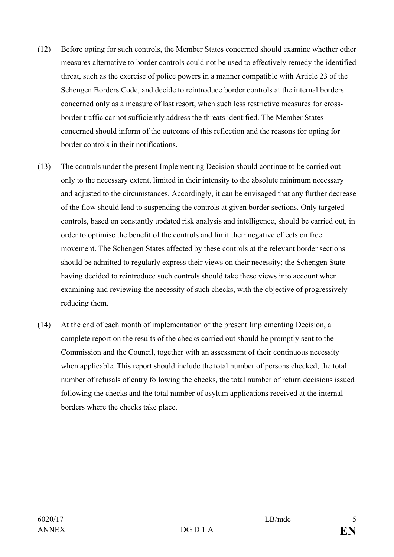- (12) Before opting for such controls, the Member States concerned should examine whether other measures alternative to border controls could not be used to effectively remedy the identified threat, such as the exercise of police powers in a manner compatible with Article 23 of the Schengen Borders Code, and decide to reintroduce border controls at the internal borders concerned only as a measure of last resort, when such less restrictive measures for crossborder traffic cannot sufficiently address the threats identified. The Member States concerned should inform of the outcome of this reflection and the reasons for opting for border controls in their notifications.
- (13) The controls under the present Implementing Decision should continue to be carried out only to the necessary extent, limited in their intensity to the absolute minimum necessary and adjusted to the circumstances. Accordingly, it can be envisaged that any further decrease of the flow should lead to suspending the controls at given border sections. Only targeted controls, based on constantly updated risk analysis and intelligence, should be carried out, in order to optimise the benefit of the controls and limit their negative effects on free movement. The Schengen States affected by these controls at the relevant border sections should be admitted to regularly express their views on their necessity; the Schengen State having decided to reintroduce such controls should take these views into account when examining and reviewing the necessity of such checks, with the objective of progressively reducing them.
- (14) At the end of each month of implementation of the present Implementing Decision, a complete report on the results of the checks carried out should be promptly sent to the Commission and the Council, together with an assessment of their continuous necessity when applicable. This report should include the total number of persons checked, the total number of refusals of entry following the checks, the total number of return decisions issued following the checks and the total number of asylum applications received at the internal borders where the checks take place.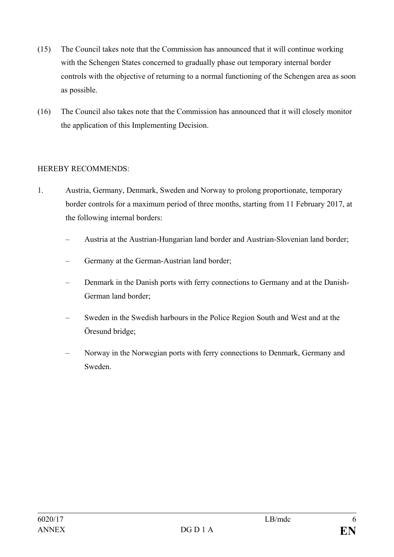- (15) The Council takes note that the Commission has announced that it will continue working with the Schengen States concerned to gradually phase out temporary internal border controls with the objective of returning to a normal functioning of the Schengen area as soon as possible.
- (16) The Council also takes note that the Commission has announced that it will closely monitor the application of this Implementing Decision.

## HEREBY RECOMMENDS:

- 1. Austria, Germany, Denmark, Sweden and Norway to prolong proportionate, temporary border controls for a maximum period of three months, starting from 11 February 2017, at the following internal borders:
	- Austria at the Austrian-Hungarian land border and Austrian-Slovenian land border;
	- Germany at the German-Austrian land border;
	- Denmark in the Danish ports with ferry connections to Germany and at the Danish-German land border;
	- Sweden in the Swedish harbours in the Police Region South and West and at the Öresund bridge;
	- Norway in the Norwegian ports with ferry connections to Denmark, Germany and Sweden.